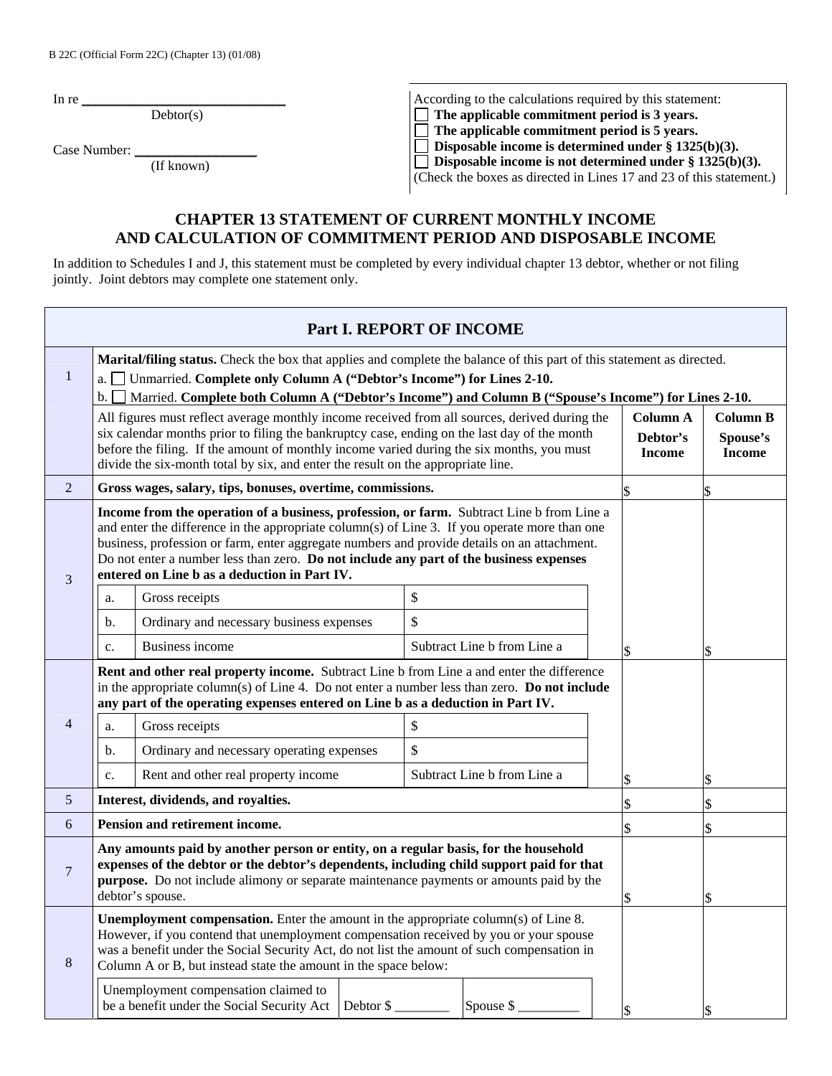In re  $\frac{1}{\sqrt{2}}$ 

Debtor(s)

Case Number:

(If known)

| According to the calculations required by this statement:           |
|---------------------------------------------------------------------|
| $\Box$ The applicable commitment period is 3 years.                 |
| $\Box$ The applicable commitment period is 5 years.                 |
| $\Box$ Disposable income is determined under § 1325(b)(3).          |
| □ Disposable income is not determined under $§$ 1325(b)(3).         |
| (Check the boxes as directed in Lines 17 and 23 of this statement.) |

## **CHAPTER 13 STATEMENT OF CURRENT MONTHLY INCOME AND CALCULATION OF COMMITMENT PERIOD AND DISPOSABLE INCOME**

In addition to Schedules I and J, this statement must be completed by every individual chapter 13 debtor, whether or not filing jointly. Joint debtors may complete one statement only.

| Part I. REPORT OF INCOME                                                                                                                                                                                                                                                                                                                                   |                                                                                                                                                                                                                                                                                                                                                                                                                                     |                                                                                                                                                                                                                                                                                                                                                                                                                                              |  |    |                             |  |    |    |  |
|------------------------------------------------------------------------------------------------------------------------------------------------------------------------------------------------------------------------------------------------------------------------------------------------------------------------------------------------------------|-------------------------------------------------------------------------------------------------------------------------------------------------------------------------------------------------------------------------------------------------------------------------------------------------------------------------------------------------------------------------------------------------------------------------------------|----------------------------------------------------------------------------------------------------------------------------------------------------------------------------------------------------------------------------------------------------------------------------------------------------------------------------------------------------------------------------------------------------------------------------------------------|--|----|-----------------------------|--|----|----|--|
| $\mathbf{1}$                                                                                                                                                                                                                                                                                                                                               | $\mathbf{b}$ . $\Box$                                                                                                                                                                                                                                                                                                                                                                                                               | Marital/filing status. Check the box that applies and complete the balance of this part of this statement as directed.<br>a. [ Unmarried. Complete only Column A ("Debtor's Income") for Lines 2-10.<br>Married. Complete both Column A ("Debtor's Income") and Column B ("Spouse's Income") for Lines 2-10.<br>All figures must reflect average monthly income received from all sources, derived during the<br>Column A<br><b>Column B</b> |  |    |                             |  |    |    |  |
|                                                                                                                                                                                                                                                                                                                                                            | six calendar months prior to filing the bankruptcy case, ending on the last day of the month<br>Debtor's<br>Spouse's<br>before the filing. If the amount of monthly income varied during the six months, you must<br><b>Income</b><br><b>Income</b><br>divide the six-month total by six, and enter the result on the appropriate line.                                                                                             |                                                                                                                                                                                                                                                                                                                                                                                                                                              |  |    |                             |  |    |    |  |
| $\overline{2}$                                                                                                                                                                                                                                                                                                                                             |                                                                                                                                                                                                                                                                                                                                                                                                                                     | Gross wages, salary, tips, bonuses, overtime, commissions.                                                                                                                                                                                                                                                                                                                                                                                   |  |    |                             |  | \$ | \$ |  |
| 3                                                                                                                                                                                                                                                                                                                                                          | Income from the operation of a business, profession, or farm. Subtract Line b from Line a<br>and enter the difference in the appropriate column(s) of Line 3. If you operate more than one<br>business, profession or farm, enter aggregate numbers and provide details on an attachment.<br>Do not enter a number less than zero. Do not include any part of the business expenses<br>entered on Line b as a deduction in Part IV. |                                                                                                                                                                                                                                                                                                                                                                                                                                              |  |    |                             |  |    |    |  |
|                                                                                                                                                                                                                                                                                                                                                            | a.                                                                                                                                                                                                                                                                                                                                                                                                                                  | Gross receipts                                                                                                                                                                                                                                                                                                                                                                                                                               |  | \$ |                             |  |    |    |  |
|                                                                                                                                                                                                                                                                                                                                                            | b.                                                                                                                                                                                                                                                                                                                                                                                                                                  | Ordinary and necessary business expenses                                                                                                                                                                                                                                                                                                                                                                                                     |  | \$ |                             |  |    |    |  |
|                                                                                                                                                                                                                                                                                                                                                            | $\overline{c}$ .                                                                                                                                                                                                                                                                                                                                                                                                                    | Business income                                                                                                                                                                                                                                                                                                                                                                                                                              |  |    | Subtract Line b from Line a |  | \$ | \$ |  |
|                                                                                                                                                                                                                                                                                                                                                            |                                                                                                                                                                                                                                                                                                                                                                                                                                     | Rent and other real property income. Subtract Line b from Line a and enter the difference<br>in the appropriate column(s) of Line 4. Do not enter a number less than zero. Do not include<br>any part of the operating expenses entered on Line b as a deduction in Part IV.                                                                                                                                                                 |  |    |                             |  |    |    |  |
| 4                                                                                                                                                                                                                                                                                                                                                          | a.                                                                                                                                                                                                                                                                                                                                                                                                                                  | Gross receipts                                                                                                                                                                                                                                                                                                                                                                                                                               |  | \$ |                             |  |    |    |  |
|                                                                                                                                                                                                                                                                                                                                                            | b.                                                                                                                                                                                                                                                                                                                                                                                                                                  | Ordinary and necessary operating expenses                                                                                                                                                                                                                                                                                                                                                                                                    |  | \$ |                             |  |    |    |  |
|                                                                                                                                                                                                                                                                                                                                                            | c.                                                                                                                                                                                                                                                                                                                                                                                                                                  | Rent and other real property income                                                                                                                                                                                                                                                                                                                                                                                                          |  |    | Subtract Line b from Line a |  | \$ | \$ |  |
| $\mathfrak{S}$                                                                                                                                                                                                                                                                                                                                             |                                                                                                                                                                                                                                                                                                                                                                                                                                     | Interest, dividends, and royalties.                                                                                                                                                                                                                                                                                                                                                                                                          |  |    |                             |  | \$ | \$ |  |
| 6                                                                                                                                                                                                                                                                                                                                                          |                                                                                                                                                                                                                                                                                                                                                                                                                                     | <b>Pension and retirement income.</b>                                                                                                                                                                                                                                                                                                                                                                                                        |  |    |                             |  |    | \$ |  |
| $\overline{7}$                                                                                                                                                                                                                                                                                                                                             | Any amounts paid by another person or entity, on a regular basis, for the household<br>expenses of the debtor or the debtor's dependents, including child support paid for that<br><b>purpose.</b> Do not include alimony or separate maintenance payments or amounts paid by the<br>debtor's spouse.                                                                                                                               |                                                                                                                                                                                                                                                                                                                                                                                                                                              |  |    |                             |  | \$ | \$ |  |
| <b>Unemployment compensation.</b> Enter the amount in the appropriate column(s) of Line 8.<br>However, if you contend that unemployment compensation received by you or your spouse<br>was a benefit under the Social Security Act, do not list the amount of such compensation in<br>8<br>Column A or B, but instead state the amount in the space below: |                                                                                                                                                                                                                                                                                                                                                                                                                                     |                                                                                                                                                                                                                                                                                                                                                                                                                                              |  |    |                             |  |    |    |  |
|                                                                                                                                                                                                                                                                                                                                                            | Unemployment compensation claimed to<br>be a benefit under the Social Security Act   Debtor \$<br>Spouse \$                                                                                                                                                                                                                                                                                                                         |                                                                                                                                                                                                                                                                                                                                                                                                                                              |  |    |                             |  |    |    |  |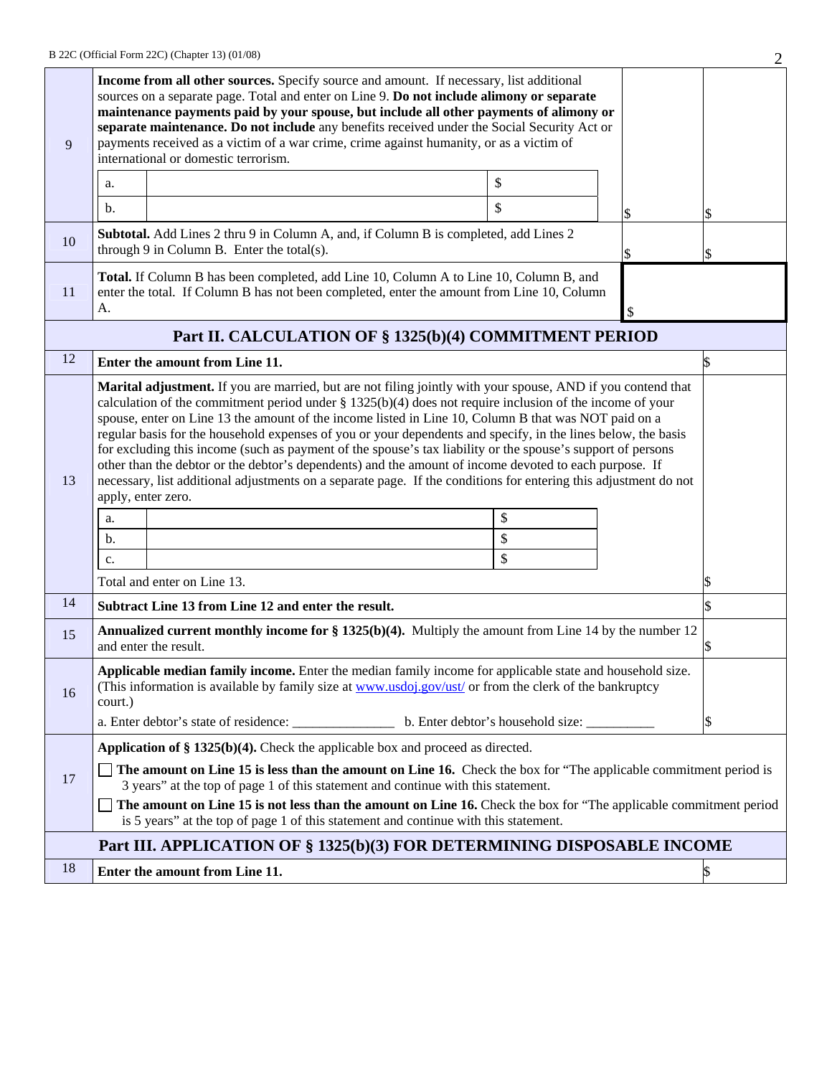| 9  | Income from all other sources. Specify source and amount. If necessary, list additional<br>sources on a separate page. Total and enter on Line 9. Do not include alimony or separate<br>maintenance payments paid by your spouse, but include all other payments of alimony or<br>separate maintenance. Do not include any benefits received under the Social Security Act or<br>payments received as a victim of a war crime, crime against humanity, or as a victim of<br>international or domestic terrorism.                                                                                                                                                                                                                                                                                                                                            |                                                                                                                                                                                      |    |  |    |    |  |
|----|-------------------------------------------------------------------------------------------------------------------------------------------------------------------------------------------------------------------------------------------------------------------------------------------------------------------------------------------------------------------------------------------------------------------------------------------------------------------------------------------------------------------------------------------------------------------------------------------------------------------------------------------------------------------------------------------------------------------------------------------------------------------------------------------------------------------------------------------------------------|--------------------------------------------------------------------------------------------------------------------------------------------------------------------------------------|----|--|----|----|--|
|    | a.                                                                                                                                                                                                                                                                                                                                                                                                                                                                                                                                                                                                                                                                                                                                                                                                                                                          |                                                                                                                                                                                      | \$ |  |    |    |  |
|    | $\mathbf b$ .                                                                                                                                                                                                                                                                                                                                                                                                                                                                                                                                                                                                                                                                                                                                                                                                                                               |                                                                                                                                                                                      | \$ |  | \$ | \$ |  |
| 10 |                                                                                                                                                                                                                                                                                                                                                                                                                                                                                                                                                                                                                                                                                                                                                                                                                                                             | Subtotal. Add Lines 2 thru 9 in Column A, and, if Column B is completed, add Lines 2<br>through 9 in Column B. Enter the total(s).                                                   |    |  |    |    |  |
| 11 | А.                                                                                                                                                                                                                                                                                                                                                                                                                                                                                                                                                                                                                                                                                                                                                                                                                                                          | Total. If Column B has been completed, add Line 10, Column A to Line 10, Column B, and<br>enter the total. If Column B has not been completed, enter the amount from Line 10, Column |    |  | \$ |    |  |
|    |                                                                                                                                                                                                                                                                                                                                                                                                                                                                                                                                                                                                                                                                                                                                                                                                                                                             | Part II. CALCULATION OF § 1325(b)(4) COMMITMENT PERIOD                                                                                                                               |    |  |    |    |  |
| 12 |                                                                                                                                                                                                                                                                                                                                                                                                                                                                                                                                                                                                                                                                                                                                                                                                                                                             | Enter the amount from Line 11.                                                                                                                                                       |    |  |    |    |  |
| 13 | Marital adjustment. If you are married, but are not filing jointly with your spouse, AND if you contend that<br>calculation of the commitment period under $\S 1325(b)(4)$ does not require inclusion of the income of your<br>spouse, enter on Line 13 the amount of the income listed in Line 10, Column B that was NOT paid on a<br>regular basis for the household expenses of you or your dependents and specify, in the lines below, the basis<br>for excluding this income (such as payment of the spouse's tax liability or the spouse's support of persons<br>other than the debtor or the debtor's dependents) and the amount of income devoted to each purpose. If<br>necessary, list additional adjustments on a separate page. If the conditions for entering this adjustment do not<br>apply, enter zero.<br>\$<br>a.<br>\$<br>b.<br>\$<br>c. |                                                                                                                                                                                      |    |  |    |    |  |
|    |                                                                                                                                                                                                                                                                                                                                                                                                                                                                                                                                                                                                                                                                                                                                                                                                                                                             | Total and enter on Line 13.                                                                                                                                                          |    |  |    |    |  |
| 14 |                                                                                                                                                                                                                                                                                                                                                                                                                                                                                                                                                                                                                                                                                                                                                                                                                                                             | Subtract Line 13 from Line 12 and enter the result.                                                                                                                                  |    |  |    |    |  |
| 15 |                                                                                                                                                                                                                                                                                                                                                                                                                                                                                                                                                                                                                                                                                                                                                                                                                                                             | <b>Annualized current monthly income for <math>\S 1325(b)(4)</math>.</b> Multiply the amount from Line 14 by the number 12<br>and enter the result.                                  |    |  |    |    |  |
| 16 | Applicable median family income. Enter the median family income for applicable state and household size.<br>(This information is available by family size at www.usdoj.gov/ust/ or from the clerk of the bankruptcy<br>court.)                                                                                                                                                                                                                                                                                                                                                                                                                                                                                                                                                                                                                              |                                                                                                                                                                                      |    |  |    | \$ |  |
|    |                                                                                                                                                                                                                                                                                                                                                                                                                                                                                                                                                                                                                                                                                                                                                                                                                                                             |                                                                                                                                                                                      |    |  |    |    |  |
| 17 | Application of $\S 1325(b)(4)$ . Check the applicable box and proceed as directed.<br>The amount on Line 15 is less than the amount on Line 16. Check the box for "The applicable commitment period is<br>3 years" at the top of page 1 of this statement and continue with this statement.<br>The amount on Line 15 is not less than the amount on Line 16. Check the box for "The applicable commitment period                                                                                                                                                                                                                                                                                                                                                                                                                                            |                                                                                                                                                                                      |    |  |    |    |  |
|    |                                                                                                                                                                                                                                                                                                                                                                                                                                                                                                                                                                                                                                                                                                                                                                                                                                                             | is 5 years" at the top of page 1 of this statement and continue with this statement.                                                                                                 |    |  |    |    |  |
| 18 |                                                                                                                                                                                                                                                                                                                                                                                                                                                                                                                                                                                                                                                                                                                                                                                                                                                             | Part III. APPLICATION OF § 1325(b)(3) FOR DETERMINING DISPOSABLE INCOME                                                                                                              |    |  |    |    |  |
|    |                                                                                                                                                                                                                                                                                                                                                                                                                                                                                                                                                                                                                                                                                                                                                                                                                                                             | Enter the amount from Line 11.                                                                                                                                                       |    |  |    |    |  |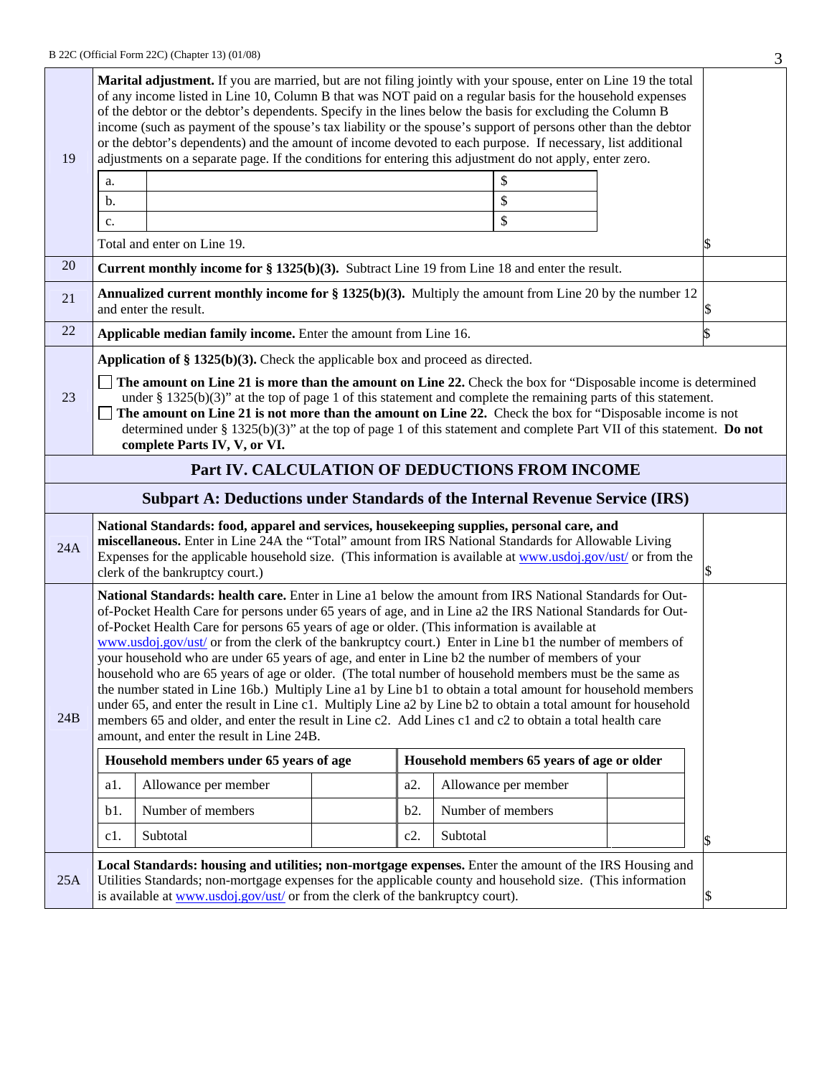|     |                                                                                                                                                                                                                                                                                                                                                                                                                                                                                                                                                                                                                                                                                                                                                                                                                                                                                                                                                                                                                                           |                                                                                                                                       |  |        |                   |                                            |    | J  |
|-----|-------------------------------------------------------------------------------------------------------------------------------------------------------------------------------------------------------------------------------------------------------------------------------------------------------------------------------------------------------------------------------------------------------------------------------------------------------------------------------------------------------------------------------------------------------------------------------------------------------------------------------------------------------------------------------------------------------------------------------------------------------------------------------------------------------------------------------------------------------------------------------------------------------------------------------------------------------------------------------------------------------------------------------------------|---------------------------------------------------------------------------------------------------------------------------------------|--|--------|-------------------|--------------------------------------------|----|----|
| 19  | Marital adjustment. If you are married, but are not filing jointly with your spouse, enter on Line 19 the total<br>of any income listed in Line 10, Column B that was NOT paid on a regular basis for the household expenses<br>of the debtor or the debtor's dependents. Specify in the lines below the basis for excluding the Column B<br>income (such as payment of the spouse's tax liability or the spouse's support of persons other than the debtor<br>or the debtor's dependents) and the amount of income devoted to each purpose. If necessary, list additional<br>adjustments on a separate page. If the conditions for entering this adjustment do not apply, enter zero.                                                                                                                                                                                                                                                                                                                                                    |                                                                                                                                       |  |        |                   |                                            |    |    |
|     | a.                                                                                                                                                                                                                                                                                                                                                                                                                                                                                                                                                                                                                                                                                                                                                                                                                                                                                                                                                                                                                                        |                                                                                                                                       |  |        |                   | \$                                         |    |    |
|     | b.                                                                                                                                                                                                                                                                                                                                                                                                                                                                                                                                                                                                                                                                                                                                                                                                                                                                                                                                                                                                                                        |                                                                                                                                       |  |        |                   | \$                                         |    |    |
|     | c.                                                                                                                                                                                                                                                                                                                                                                                                                                                                                                                                                                                                                                                                                                                                                                                                                                                                                                                                                                                                                                        |                                                                                                                                       |  |        |                   | \$                                         |    |    |
|     |                                                                                                                                                                                                                                                                                                                                                                                                                                                                                                                                                                                                                                                                                                                                                                                                                                                                                                                                                                                                                                           | Total and enter on Line 19.                                                                                                           |  |        |                   |                                            |    | \$ |
| 20  |                                                                                                                                                                                                                                                                                                                                                                                                                                                                                                                                                                                                                                                                                                                                                                                                                                                                                                                                                                                                                                           | <b>Current monthly income for § 1325(b)(3).</b> Subtract Line 19 from Line 18 and enter the result.                                   |  |        |                   |                                            |    |    |
| 21  |                                                                                                                                                                                                                                                                                                                                                                                                                                                                                                                                                                                                                                                                                                                                                                                                                                                                                                                                                                                                                                           | <b>Annualized current monthly income for § 1325(b)(3).</b> Multiply the amount from Line 20 by the number 12<br>and enter the result. |  |        |                   |                                            |    |    |
| 22  |                                                                                                                                                                                                                                                                                                                                                                                                                                                                                                                                                                                                                                                                                                                                                                                                                                                                                                                                                                                                                                           | Applicable median family income. Enter the amount from Line 16.                                                                       |  |        |                   |                                            |    |    |
|     |                                                                                                                                                                                                                                                                                                                                                                                                                                                                                                                                                                                                                                                                                                                                                                                                                                                                                                                                                                                                                                           | Application of $\S 1325(b)(3)$ . Check the applicable box and proceed as directed.                                                    |  |        |                   |                                            |    |    |
| 23  | The amount on Line 21 is more than the amount on Line 22. Check the box for "Disposable income is determined"<br>under $§$ 1325(b)(3)" at the top of page 1 of this statement and complete the remaining parts of this statement.<br>The amount on Line 21 is not more than the amount on Line 22. Check the box for "Disposable income is not<br>determined under § 1325(b)(3)" at the top of page 1 of this statement and complete Part VII of this statement. Do not<br>complete Parts IV, V, or VI.                                                                                                                                                                                                                                                                                                                                                                                                                                                                                                                                   |                                                                                                                                       |  |        |                   |                                            |    |    |
|     |                                                                                                                                                                                                                                                                                                                                                                                                                                                                                                                                                                                                                                                                                                                                                                                                                                                                                                                                                                                                                                           | Part IV. CALCULATION OF DEDUCTIONS FROM INCOME                                                                                        |  |        |                   |                                            |    |    |
|     |                                                                                                                                                                                                                                                                                                                                                                                                                                                                                                                                                                                                                                                                                                                                                                                                                                                                                                                                                                                                                                           | <b>Subpart A: Deductions under Standards of the Internal Revenue Service (IRS)</b>                                                    |  |        |                   |                                            |    |    |
| 24A | National Standards: food, apparel and services, housekeeping supplies, personal care, and<br>miscellaneous. Enter in Line 24A the "Total" amount from IRS National Standards for Allowable Living<br>Expenses for the applicable household size. (This information is available at www.usdoj.gov/ust/ or from the<br>clerk of the bankruptcy court.)                                                                                                                                                                                                                                                                                                                                                                                                                                                                                                                                                                                                                                                                                      |                                                                                                                                       |  |        |                   |                                            |    |    |
| 24B | National Standards: health care. Enter in Line a1 below the amount from IRS National Standards for Out-<br>of-Pocket Health Care for persons under 65 years of age, and in Line a2 the IRS National Standards for Out-<br>of-Pocket Health Care for persons 65 years of age or older. (This information is available at<br>www.usdoj.gov/ust/ or from the clerk of the bankruptcy court.) Enter in Line b1 the number of members of<br>your household who are under 65 years of age, and enter in Line b2 the number of members of your<br>household who are 65 years of age or older. (The total number of household members must be the same as<br>the number stated in Line 16b.) Multiply Line a1 by Line b1 to obtain a total amount for household members<br>under 65, and enter the result in Line c1. Multiply Line a2 by Line b2 to obtain a total amount for household<br>members 65 and older, and enter the result in Line c2. Add Lines c1 and c2 to obtain a total health care<br>amount, and enter the result in Line 24B. |                                                                                                                                       |  |        |                   |                                            |    |    |
|     |                                                                                                                                                                                                                                                                                                                                                                                                                                                                                                                                                                                                                                                                                                                                                                                                                                                                                                                                                                                                                                           | Household members under 65 years of age                                                                                               |  |        |                   | Household members 65 years of age or older |    |    |
|     | a1.                                                                                                                                                                                                                                                                                                                                                                                                                                                                                                                                                                                                                                                                                                                                                                                                                                                                                                                                                                                                                                       | Allowance per member                                                                                                                  |  | a2.    |                   | Allowance per member                       |    |    |
|     | b1.                                                                                                                                                                                                                                                                                                                                                                                                                                                                                                                                                                                                                                                                                                                                                                                                                                                                                                                                                                                                                                       | Number of members                                                                                                                     |  | b2.    | Number of members |                                            |    |    |
|     | c1.                                                                                                                                                                                                                                                                                                                                                                                                                                                                                                                                                                                                                                                                                                                                                                                                                                                                                                                                                                                                                                       | Subtotal                                                                                                                              |  | $c2$ . | Subtotal          |                                            |    | \$ |
| 25A | Local Standards: housing and utilities; non-mortgage expenses. Enter the amount of the IRS Housing and<br>Utilities Standards; non-mortgage expenses for the applicable county and household size. (This information<br>is available at www.usdoj.gov/ust/ or from the clerk of the bankruptcy court).                                                                                                                                                                                                                                                                                                                                                                                                                                                                                                                                                                                                                                                                                                                                    |                                                                                                                                       |  |        |                   |                                            | \$ |    |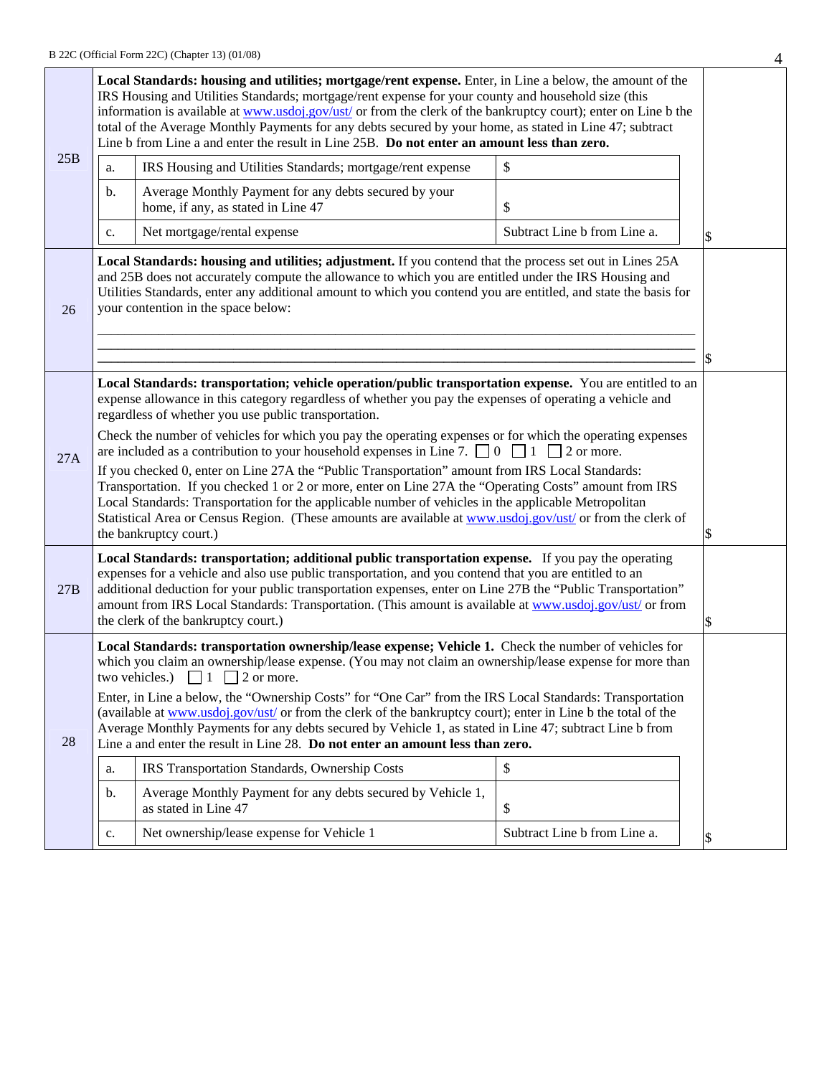|     |                                                                                                                                                                                                                                                                                                                                                                                                                                                                                                                                                                                                                                                                                                                                                                                                                                                                                                                                                                           | Local Standards: housing and utilities; mortgage/rent expense. Enter, in Line a below, the amount of the<br>IRS Housing and Utilities Standards; mortgage/rent expense for your county and household size (this<br>information is available at www.usdoj.gov/ust/ or from the clerk of the bankruptcy court); enter on Line b the<br>total of the Average Monthly Payments for any debts secured by your home, as stated in Line 47; subtract<br>Line b from Line a and enter the result in Line 25B. Do not enter an amount less than zero. |                              |    |  |  |  |
|-----|---------------------------------------------------------------------------------------------------------------------------------------------------------------------------------------------------------------------------------------------------------------------------------------------------------------------------------------------------------------------------------------------------------------------------------------------------------------------------------------------------------------------------------------------------------------------------------------------------------------------------------------------------------------------------------------------------------------------------------------------------------------------------------------------------------------------------------------------------------------------------------------------------------------------------------------------------------------------------|----------------------------------------------------------------------------------------------------------------------------------------------------------------------------------------------------------------------------------------------------------------------------------------------------------------------------------------------------------------------------------------------------------------------------------------------------------------------------------------------------------------------------------------------|------------------------------|----|--|--|--|
| 25B | a.                                                                                                                                                                                                                                                                                                                                                                                                                                                                                                                                                                                                                                                                                                                                                                                                                                                                                                                                                                        | IRS Housing and Utilities Standards; mortgage/rent expense                                                                                                                                                                                                                                                                                                                                                                                                                                                                                   | \$                           |    |  |  |  |
|     | b.                                                                                                                                                                                                                                                                                                                                                                                                                                                                                                                                                                                                                                                                                                                                                                                                                                                                                                                                                                        | Average Monthly Payment for any debts secured by your<br>home, if any, as stated in Line 47                                                                                                                                                                                                                                                                                                                                                                                                                                                  | \$                           |    |  |  |  |
|     | c.                                                                                                                                                                                                                                                                                                                                                                                                                                                                                                                                                                                                                                                                                                                                                                                                                                                                                                                                                                        | Net mortgage/rental expense                                                                                                                                                                                                                                                                                                                                                                                                                                                                                                                  | Subtract Line b from Line a. | \$ |  |  |  |
| 26  | Local Standards: housing and utilities; adjustment. If you contend that the process set out in Lines 25A<br>and 25B does not accurately compute the allowance to which you are entitled under the IRS Housing and<br>Utilities Standards, enter any additional amount to which you contend you are entitled, and state the basis for<br>your contention in the space below:                                                                                                                                                                                                                                                                                                                                                                                                                                                                                                                                                                                               |                                                                                                                                                                                                                                                                                                                                                                                                                                                                                                                                              |                              |    |  |  |  |
| 27A | Local Standards: transportation; vehicle operation/public transportation expense. You are entitled to an<br>expense allowance in this category regardless of whether you pay the expenses of operating a vehicle and<br>regardless of whether you use public transportation.<br>Check the number of vehicles for which you pay the operating expenses or for which the operating expenses<br>are included as a contribution to your household expenses in Line 7. $\Box$ 0 $\Box$ 1 $\Box$ 2 or more.<br>If you checked 0, enter on Line 27A the "Public Transportation" amount from IRS Local Standards:<br>Transportation. If you checked 1 or 2 or more, enter on Line 27A the "Operating Costs" amount from IRS<br>Local Standards: Transportation for the applicable number of vehicles in the applicable Metropolitan<br>Statistical Area or Census Region. (These amounts are available at www.usdoj.gov/ust/ or from the clerk of<br>the bankruptcy court.)<br>\$ |                                                                                                                                                                                                                                                                                                                                                                                                                                                                                                                                              |                              |    |  |  |  |
| 27B | Local Standards: transportation; additional public transportation expense. If you pay the operating<br>expenses for a vehicle and also use public transportation, and you contend that you are entitled to an<br>additional deduction for your public transportation expenses, enter on Line 27B the "Public Transportation"<br>amount from IRS Local Standards: Transportation. (This amount is available at www.usdoj.gov/ust/ or from<br>the clerk of the bankruptcy court.)                                                                                                                                                                                                                                                                                                                                                                                                                                                                                           |                                                                                                                                                                                                                                                                                                                                                                                                                                                                                                                                              |                              |    |  |  |  |
| 28  | Local Standards: transportation ownership/lease expense; Vehicle 1. Check the number of vehicles for<br>which you claim an ownership/lease expense. (You may not claim an ownership/lease expense for more than<br>two vehicles.) $\Box$ 1 $\Box$ 2 or more.<br>Enter, in Line a below, the "Ownership Costs" for "One Car" from the IRS Local Standards: Transportation<br>(available at www.usdoj.gov/ust/ or from the clerk of the bankruptcy court); enter in Line b the total of the<br>Average Monthly Payments for any debts secured by Vehicle 1, as stated in Line 47; subtract Line b from<br>Line a and enter the result in Line 28. Do not enter an amount less than zero.<br>\$<br>IRS Transportation Standards, Ownership Costs<br>a.<br>Average Monthly Payment for any debts secured by Vehicle 1,<br>b.<br>as stated in Line 47<br>\$<br>Net ownership/lease expense for Vehicle 1<br>Subtract Line b from Line a.<br>c.<br>\$                           |                                                                                                                                                                                                                                                                                                                                                                                                                                                                                                                                              |                              |    |  |  |  |
|     |                                                                                                                                                                                                                                                                                                                                                                                                                                                                                                                                                                                                                                                                                                                                                                                                                                                                                                                                                                           |                                                                                                                                                                                                                                                                                                                                                                                                                                                                                                                                              |                              |    |  |  |  |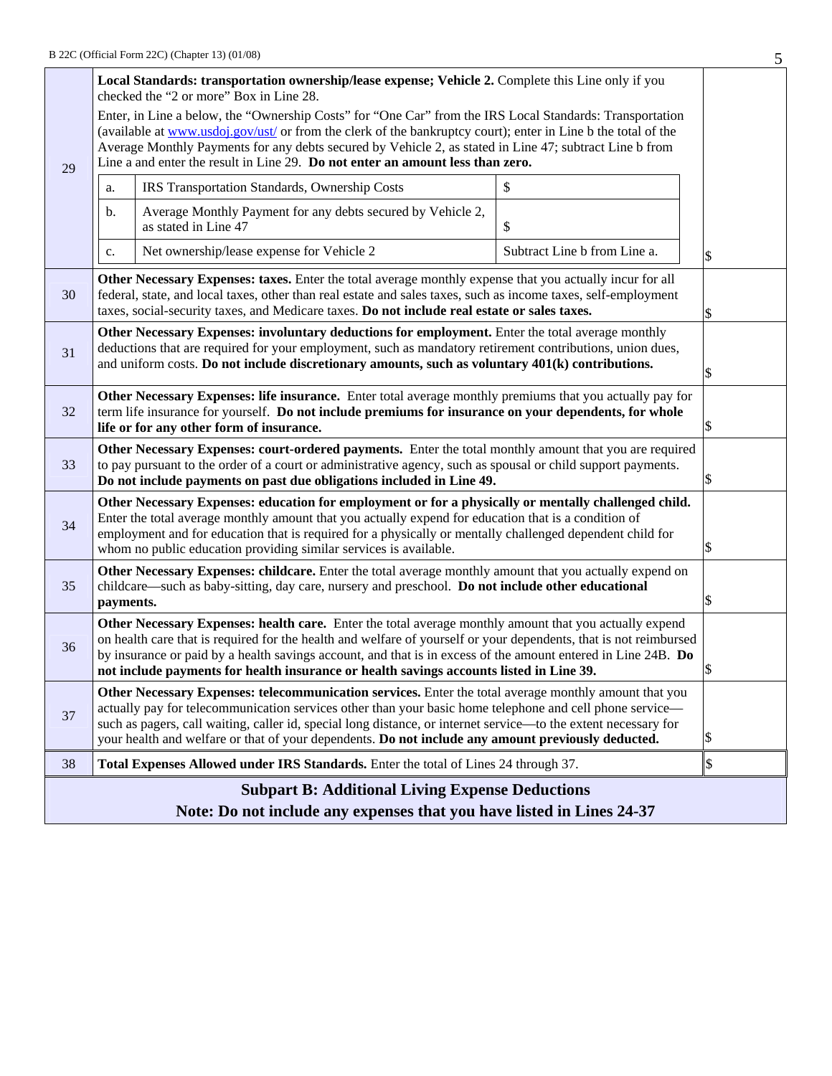| Local Standards: transportation ownership/lease expense; Vehicle 2. Complete this Line only if you<br>checked the "2 or more" Box in Line 28.                                                                                                                                                                                                                                                        |                                                                                                                                                                                                                                                                                                                                                                                                                                            |                                                                                                                                                                                                                                                                                                                            |                              |    |  |  |  |
|------------------------------------------------------------------------------------------------------------------------------------------------------------------------------------------------------------------------------------------------------------------------------------------------------------------------------------------------------------------------------------------------------|--------------------------------------------------------------------------------------------------------------------------------------------------------------------------------------------------------------------------------------------------------------------------------------------------------------------------------------------------------------------------------------------------------------------------------------------|----------------------------------------------------------------------------------------------------------------------------------------------------------------------------------------------------------------------------------------------------------------------------------------------------------------------------|------------------------------|----|--|--|--|
| 29                                                                                                                                                                                                                                                                                                                                                                                                   | Enter, in Line a below, the "Ownership Costs" for "One Car" from the IRS Local Standards: Transportation<br>(available at www.usdoj.gov/ust/ or from the clerk of the bankruptcy court); enter in Line b the total of the<br>Average Monthly Payments for any debts secured by Vehicle 2, as stated in Line 47; subtract Line b from<br>Line a and enter the result in Line 29. Do not enter an amount less than zero.                     |                                                                                                                                                                                                                                                                                                                            |                              |    |  |  |  |
|                                                                                                                                                                                                                                                                                                                                                                                                      | a.                                                                                                                                                                                                                                                                                                                                                                                                                                         | IRS Transportation Standards, Ownership Costs                                                                                                                                                                                                                                                                              | \$                           |    |  |  |  |
|                                                                                                                                                                                                                                                                                                                                                                                                      | b.                                                                                                                                                                                                                                                                                                                                                                                                                                         | Average Monthly Payment for any debts secured by Vehicle 2,<br>as stated in Line 47                                                                                                                                                                                                                                        | \$                           |    |  |  |  |
|                                                                                                                                                                                                                                                                                                                                                                                                      | c.                                                                                                                                                                                                                                                                                                                                                                                                                                         | Net ownership/lease expense for Vehicle 2                                                                                                                                                                                                                                                                                  | Subtract Line b from Line a. | \$ |  |  |  |
| 30                                                                                                                                                                                                                                                                                                                                                                                                   |                                                                                                                                                                                                                                                                                                                                                                                                                                            | Other Necessary Expenses: taxes. Enter the total average monthly expense that you actually incur for all<br>federal, state, and local taxes, other than real estate and sales taxes, such as income taxes, self-employment<br>taxes, social-security taxes, and Medicare taxes. Do not include real estate or sales taxes. |                              | \$ |  |  |  |
| Other Necessary Expenses: involuntary deductions for employment. Enter the total average monthly<br>deductions that are required for your employment, such as mandatory retirement contributions, union dues,<br>31<br>and uniform costs. Do not include discretionary amounts, such as voluntary 401(k) contributions.                                                                              |                                                                                                                                                                                                                                                                                                                                                                                                                                            |                                                                                                                                                                                                                                                                                                                            |                              |    |  |  |  |
| Other Necessary Expenses: life insurance. Enter total average monthly premiums that you actually pay for<br>32<br>term life insurance for yourself. Do not include premiums for insurance on your dependents, for whole<br>life or for any other form of insurance.                                                                                                                                  |                                                                                                                                                                                                                                                                                                                                                                                                                                            |                                                                                                                                                                                                                                                                                                                            |                              |    |  |  |  |
| 33                                                                                                                                                                                                                                                                                                                                                                                                   | Other Necessary Expenses: court-ordered payments. Enter the total monthly amount that you are required<br>to pay pursuant to the order of a court or administrative agency, such as spousal or child support payments.<br>Do not include payments on past due obligations included in Line 49.                                                                                                                                             |                                                                                                                                                                                                                                                                                                                            |                              |    |  |  |  |
| Other Necessary Expenses: education for employment or for a physically or mentally challenged child.<br>Enter the total average monthly amount that you actually expend for education that is a condition of<br>34<br>employment and for education that is required for a physically or mentally challenged dependent child for<br>whom no public education providing similar services is available. |                                                                                                                                                                                                                                                                                                                                                                                                                                            |                                                                                                                                                                                                                                                                                                                            |                              |    |  |  |  |
| Other Necessary Expenses: childcare. Enter the total average monthly amount that you actually expend on<br>childcare—such as baby-sitting, day care, nursery and preschool. Do not include other educational<br>35<br>payments.                                                                                                                                                                      |                                                                                                                                                                                                                                                                                                                                                                                                                                            |                                                                                                                                                                                                                                                                                                                            |                              |    |  |  |  |
| 36                                                                                                                                                                                                                                                                                                                                                                                                   | Other Necessary Expenses: health care. Enter the total average monthly amount that you actually expend<br>on health care that is required for the health and welfare of yourself or your dependents, that is not reimbursed<br>by insurance or paid by a health savings account, and that is in excess of the amount entered in Line 24B. Do<br>not include payments for health insurance or health savings accounts listed in Line 39.    |                                                                                                                                                                                                                                                                                                                            |                              |    |  |  |  |
| 37                                                                                                                                                                                                                                                                                                                                                                                                   | Other Necessary Expenses: telecommunication services. Enter the total average monthly amount that you<br>actually pay for telecommunication services other than your basic home telephone and cell phone service—<br>such as pagers, call waiting, caller id, special long distance, or internet service—to the extent necessary for<br>your health and welfare or that of your dependents. Do not include any amount previously deducted. |                                                                                                                                                                                                                                                                                                                            |                              |    |  |  |  |
| 38                                                                                                                                                                                                                                                                                                                                                                                                   |                                                                                                                                                                                                                                                                                                                                                                                                                                            | Total Expenses Allowed under IRS Standards. Enter the total of Lines 24 through 37.                                                                                                                                                                                                                                        |                              | \$ |  |  |  |
|                                                                                                                                                                                                                                                                                                                                                                                                      | <b>Subpart B: Additional Living Expense Deductions</b>                                                                                                                                                                                                                                                                                                                                                                                     |                                                                                                                                                                                                                                                                                                                            |                              |    |  |  |  |
|                                                                                                                                                                                                                                                                                                                                                                                                      |                                                                                                                                                                                                                                                                                                                                                                                                                                            | Note: Do not include any expenses that you have listed in Lines 24-37                                                                                                                                                                                                                                                      |                              |    |  |  |  |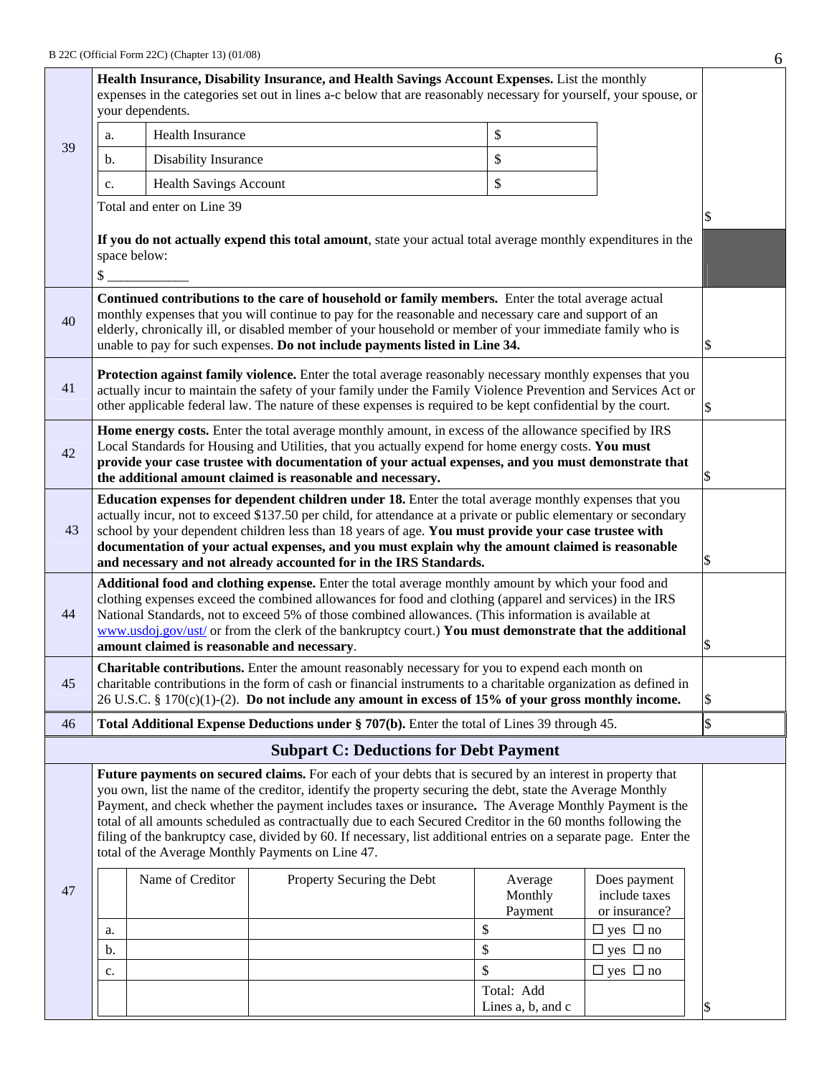|    | your dependents.                                                                                                                                                                                                                                                                                                                                                                                                                                                                                                                                                                                                           |                               | Health Insurance, Disability Insurance, and Health Savings Account Expenses. List the monthly<br>expenses in the categories set out in lines a-c below that are reasonably necessary for yourself, your spouse, or                                                                                                         |  |                               |                                                |               |  |
|----|----------------------------------------------------------------------------------------------------------------------------------------------------------------------------------------------------------------------------------------------------------------------------------------------------------------------------------------------------------------------------------------------------------------------------------------------------------------------------------------------------------------------------------------------------------------------------------------------------------------------------|-------------------------------|----------------------------------------------------------------------------------------------------------------------------------------------------------------------------------------------------------------------------------------------------------------------------------------------------------------------------|--|-------------------------------|------------------------------------------------|---------------|--|
| 39 | a.                                                                                                                                                                                                                                                                                                                                                                                                                                                                                                                                                                                                                         | <b>Health Insurance</b>       |                                                                                                                                                                                                                                                                                                                            |  | \$                            |                                                |               |  |
|    | b.                                                                                                                                                                                                                                                                                                                                                                                                                                                                                                                                                                                                                         | Disability Insurance          |                                                                                                                                                                                                                                                                                                                            |  | \$                            |                                                |               |  |
|    | c.                                                                                                                                                                                                                                                                                                                                                                                                                                                                                                                                                                                                                         | <b>Health Savings Account</b> |                                                                                                                                                                                                                                                                                                                            |  | \$                            |                                                |               |  |
|    |                                                                                                                                                                                                                                                                                                                                                                                                                                                                                                                                                                                                                            | Total and enter on Line 39    |                                                                                                                                                                                                                                                                                                                            |  |                               |                                                |               |  |
|    | If you do not actually expend this total amount, state your actual total average monthly expenditures in the<br>space below:<br>\$                                                                                                                                                                                                                                                                                                                                                                                                                                                                                         |                               |                                                                                                                                                                                                                                                                                                                            |  |                               |                                                |               |  |
| 40 | Continued contributions to the care of household or family members. Enter the total average actual<br>monthly expenses that you will continue to pay for the reasonable and necessary care and support of an<br>elderly, chronically ill, or disabled member of your household or member of your immediate family who is<br>unable to pay for such expenses. Do not include payments listed in Line 34.<br>\$                                                                                                                                                                                                              |                               |                                                                                                                                                                                                                                                                                                                            |  |                               |                                                |               |  |
| 41 | Protection against family violence. Enter the total average reasonably necessary monthly expenses that you<br>actually incur to maintain the safety of your family under the Family Violence Prevention and Services Act or<br>other applicable federal law. The nature of these expenses is required to be kept confidential by the court.<br>S                                                                                                                                                                                                                                                                           |                               |                                                                                                                                                                                                                                                                                                                            |  |                               |                                                |               |  |
| 42 | Home energy costs. Enter the total average monthly amount, in excess of the allowance specified by IRS<br>Local Standards for Housing and Utilities, that you actually expend for home energy costs. You must<br>provide your case trustee with documentation of your actual expenses, and you must demonstrate that<br>the additional amount claimed is reasonable and necessary.                                                                                                                                                                                                                                         |                               |                                                                                                                                                                                                                                                                                                                            |  |                               |                                                |               |  |
| 43 | Education expenses for dependent children under 18. Enter the total average monthly expenses that you<br>actually incur, not to exceed \$137.50 per child, for attendance at a private or public elementary or secondary<br>school by your dependent children less than 18 years of age. You must provide your case trustee with<br>documentation of your actual expenses, and you must explain why the amount claimed is reasonable<br>and necessary and not already accounted for in the IRS Standards.                                                                                                                  |                               |                                                                                                                                                                                                                                                                                                                            |  |                               |                                                |               |  |
| 44 | Additional food and clothing expense. Enter the total average monthly amount by which your food and<br>clothing expenses exceed the combined allowances for food and clothing (apparel and services) in the IRS<br>National Standards, not to exceed 5% of those combined allowances. (This information is available at<br>www.usdoj.gov/ust/ or from the clerk of the bankruptcy court.) You must demonstrate that the additional<br>amount claimed is reasonable and necessary.                                                                                                                                          |                               |                                                                                                                                                                                                                                                                                                                            |  |                               |                                                |               |  |
| 45 |                                                                                                                                                                                                                                                                                                                                                                                                                                                                                                                                                                                                                            |                               | Charitable contributions. Enter the amount reasonably necessary for you to expend each month on<br>charitable contributions in the form of cash or financial instruments to a charitable organization as defined in<br>26 U.S.C. § 170(c)(1)-(2). Do not include any amount in excess of 15% of your gross monthly income. |  |                               |                                                | \$            |  |
| 46 |                                                                                                                                                                                                                                                                                                                                                                                                                                                                                                                                                                                                                            |                               | Total Additional Expense Deductions under § 707(b). Enter the total of Lines 39 through 45.                                                                                                                                                                                                                                |  |                               |                                                | $\mathsf{\$}$ |  |
|    |                                                                                                                                                                                                                                                                                                                                                                                                                                                                                                                                                                                                                            |                               | <b>Subpart C: Deductions for Debt Payment</b>                                                                                                                                                                                                                                                                              |  |                               |                                                |               |  |
|    | Future payments on secured claims. For each of your debts that is secured by an interest in property that<br>you own, list the name of the creditor, identify the property securing the debt, state the Average Monthly<br>Payment, and check whether the payment includes taxes or insurance. The Average Monthly Payment is the<br>total of all amounts scheduled as contractually due to each Secured Creditor in the 60 months following the<br>filing of the bankruptcy case, divided by 60. If necessary, list additional entries on a separate page. Enter the<br>total of the Average Monthly Payments on Line 47. |                               |                                                                                                                                                                                                                                                                                                                            |  |                               |                                                |               |  |
| 47 |                                                                                                                                                                                                                                                                                                                                                                                                                                                                                                                                                                                                                            | Name of Creditor              | Property Securing the Debt                                                                                                                                                                                                                                                                                                 |  | Average<br>Monthly<br>Payment | Does payment<br>include taxes<br>or insurance? |               |  |
|    | a.                                                                                                                                                                                                                                                                                                                                                                                                                                                                                                                                                                                                                         |                               |                                                                                                                                                                                                                                                                                                                            |  | \$                            | $\Box$ yes $\Box$ no                           |               |  |
|    | b.                                                                                                                                                                                                                                                                                                                                                                                                                                                                                                                                                                                                                         |                               |                                                                                                                                                                                                                                                                                                                            |  | \$<br>\$                      | $\Box$ yes $\Box$ no<br>$\Box$ yes $\Box$ no   |               |  |
|    | c.                                                                                                                                                                                                                                                                                                                                                                                                                                                                                                                                                                                                                         |                               |                                                                                                                                                                                                                                                                                                                            |  | Total: Add                    |                                                |               |  |
|    |                                                                                                                                                                                                                                                                                                                                                                                                                                                                                                                                                                                                                            |                               |                                                                                                                                                                                                                                                                                                                            |  |                               |                                                |               |  |

Lines a, b, and c \$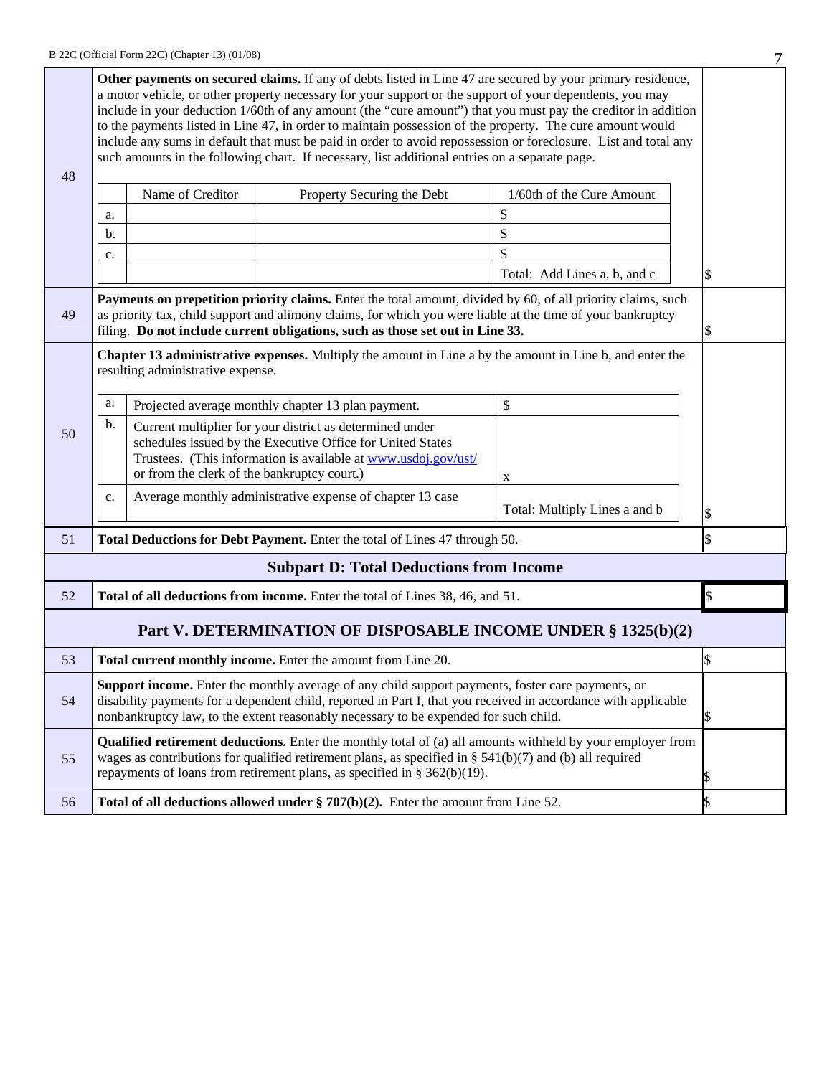| 48 | Other payments on secured claims. If any of debts listed in Line 47 are secured by your primary residence,<br>a motor vehicle, or other property necessary for your support or the support of your dependents, you may<br>include in your deduction 1/60th of any amount (the "cure amount") that you must pay the creditor in addition<br>to the payments listed in Line 47, in order to maintain possession of the property. The cure amount would<br>include any sums in default that must be paid in order to avoid repossession or foreclosure. List and total any<br>such amounts in the following chart. If necessary, list additional entries on a separate page.<br>Name of Creditor<br>1/60th of the Cure Amount<br>Property Securing the Debt<br>\$ |                                   |                                                                                                                                                                                                                                                                                                              |                               |    |  |  |
|----|----------------------------------------------------------------------------------------------------------------------------------------------------------------------------------------------------------------------------------------------------------------------------------------------------------------------------------------------------------------------------------------------------------------------------------------------------------------------------------------------------------------------------------------------------------------------------------------------------------------------------------------------------------------------------------------------------------------------------------------------------------------|-----------------------------------|--------------------------------------------------------------------------------------------------------------------------------------------------------------------------------------------------------------------------------------------------------------------------------------------------------------|-------------------------------|----|--|--|
|    | a.<br>b.                                                                                                                                                                                                                                                                                                                                                                                                                                                                                                                                                                                                                                                                                                                                                       |                                   |                                                                                                                                                                                                                                                                                                              | \$                            |    |  |  |
|    | c.                                                                                                                                                                                                                                                                                                                                                                                                                                                                                                                                                                                                                                                                                                                                                             |                                   |                                                                                                                                                                                                                                                                                                              | $\mathbb{S}$                  |    |  |  |
|    |                                                                                                                                                                                                                                                                                                                                                                                                                                                                                                                                                                                                                                                                                                                                                                |                                   |                                                                                                                                                                                                                                                                                                              | Total: Add Lines a, b, and c  | \$ |  |  |
| 49 |                                                                                                                                                                                                                                                                                                                                                                                                                                                                                                                                                                                                                                                                                                                                                                |                                   | Payments on prepetition priority claims. Enter the total amount, divided by 60, of all priority claims, such<br>as priority tax, child support and alimony claims, for which you were liable at the time of your bankruptcy<br>filing. Do not include current obligations, such as those set out in Line 33. |                               |    |  |  |
|    |                                                                                                                                                                                                                                                                                                                                                                                                                                                                                                                                                                                                                                                                                                                                                                | resulting administrative expense. | Chapter 13 administrative expenses. Multiply the amount in Line a by the amount in Line b, and enter the                                                                                                                                                                                                     |                               |    |  |  |
|    | \$<br>a.<br>Projected average monthly chapter 13 plan payment.                                                                                                                                                                                                                                                                                                                                                                                                                                                                                                                                                                                                                                                                                                 |                                   |                                                                                                                                                                                                                                                                                                              |                               |    |  |  |
| 50 | b.<br>Current multiplier for your district as determined under<br>schedules issued by the Executive Office for United States<br>Trustees. (This information is available at www.usdoj.gov/ust/<br>or from the clerk of the bankruptcy court.)                                                                                                                                                                                                                                                                                                                                                                                                                                                                                                                  |                                   | X                                                                                                                                                                                                                                                                                                            |                               |    |  |  |
|    | c.                                                                                                                                                                                                                                                                                                                                                                                                                                                                                                                                                                                                                                                                                                                                                             |                                   | Average monthly administrative expense of chapter 13 case                                                                                                                                                                                                                                                    | Total: Multiply Lines a and b | \$ |  |  |
| 51 | \$<br>Total Deductions for Debt Payment. Enter the total of Lines 47 through 50.                                                                                                                                                                                                                                                                                                                                                                                                                                                                                                                                                                                                                                                                               |                                   |                                                                                                                                                                                                                                                                                                              |                               |    |  |  |
|    |                                                                                                                                                                                                                                                                                                                                                                                                                                                                                                                                                                                                                                                                                                                                                                |                                   | <b>Subpart D: Total Deductions from Income</b>                                                                                                                                                                                                                                                               |                               |    |  |  |
| 52 |                                                                                                                                                                                                                                                                                                                                                                                                                                                                                                                                                                                                                                                                                                                                                                |                                   | Total of all deductions from income. Enter the total of Lines 38, 46, and 51.                                                                                                                                                                                                                                |                               | \$ |  |  |
|    |                                                                                                                                                                                                                                                                                                                                                                                                                                                                                                                                                                                                                                                                                                                                                                |                                   | Part V. DETERMINATION OF DISPOSABLE INCOME UNDER § 1325(b)(2)                                                                                                                                                                                                                                                |                               |    |  |  |
| 53 | Total current monthly income. Enter the amount from Line 20.                                                                                                                                                                                                                                                                                                                                                                                                                                                                                                                                                                                                                                                                                                   |                                   |                                                                                                                                                                                                                                                                                                              |                               |    |  |  |
| 54 | Support income. Enter the monthly average of any child support payments, foster care payments, or<br>disability payments for a dependent child, reported in Part I, that you received in accordance with applicable<br>nonbankruptcy law, to the extent reasonably necessary to be expended for such child.<br>\$                                                                                                                                                                                                                                                                                                                                                                                                                                              |                                   |                                                                                                                                                                                                                                                                                                              |                               |    |  |  |
| 55 |                                                                                                                                                                                                                                                                                                                                                                                                                                                                                                                                                                                                                                                                                                                                                                |                                   | <b>Qualified retirement deductions.</b> Enter the monthly total of (a) all amounts withheld by your employer from<br>wages as contributions for qualified retirement plans, as specified in § $541(b)(7)$ and (b) all required<br>repayments of loans from retirement plans, as specified in § 362(b)(19).   |                               |    |  |  |
| 56 | \$<br>Total of all deductions allowed under $\S 707(b)(2)$ . Enter the amount from Line 52.                                                                                                                                                                                                                                                                                                                                                                                                                                                                                                                                                                                                                                                                    |                                   |                                                                                                                                                                                                                                                                                                              |                               |    |  |  |